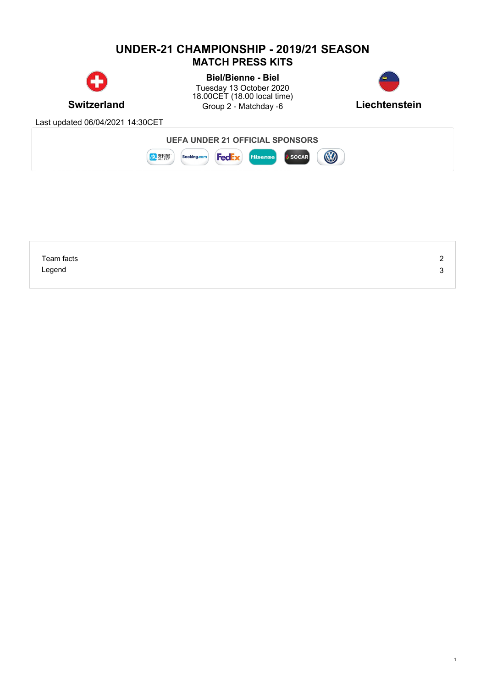## **UNDER-21 CHAMPIONSHIP - 2019/21 SEASON MATCH PRESS KITS**



**Switzerland** Group 2 - Matchday -6 **Liechtenstein Biel/Bienne - Biel** Tuesday 13 October 2020 18.00CET (18.00 local time)



1

Last updated 06/04/2021 14:30CET



| Team facts | _      |
|------------|--------|
| Legend     | -<br>ີ |
|            |        |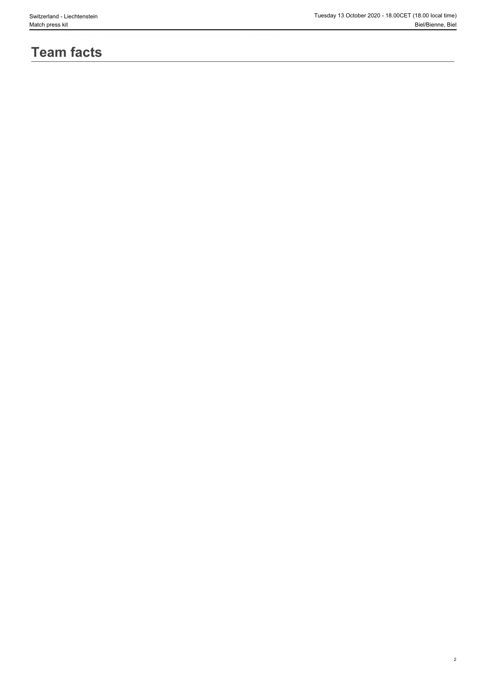#### Switzerland - Liechtenstein Tuesday 13 October 2020 - 18.00CET (18.00 local time) Match press kit Biel/Bienne, Biel

# **Team facts**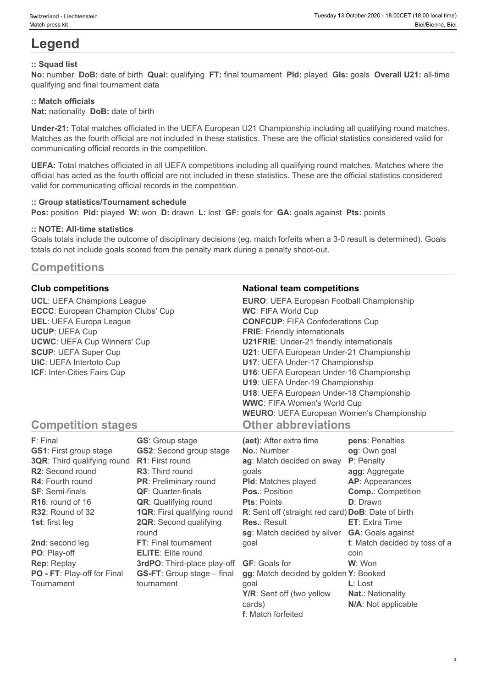# **Legend**

### **:: Squad list**

**No:** number **DoB:** date of birth **Qual:** qualifying **FT:** final tournament **Pld:** played **Gls:** goals **Overall U21:** all-time qualifying and final tournament data

### **:: Match officials**

**Nat:** nationality **DoB:** date of birth

**Under-21:** Total matches officiated in the UEFA European U21 Championship including all qualifying round matches. Matches as the fourth official are not included in these statistics. These are the official statistics considered valid for communicating official records in the competition.

**UEFA:** Total matches officiated in all UEFA competitions including all qualifying round matches. Matches where the official has acted as the fourth official are not included in these statistics. These are the official statistics considered valid for communicating official records in the competition.

#### **:: Group statistics/Tournament schedule**

**Pos:** position **Pld:** played **W:** won **D:** drawn **L:** lost **GF:** goals for **GA:** goals against **Pts:** points

#### **:: NOTE: All-time statistics**

Goals totals include the outcome of disciplinary decisions (eg. match forfeits when a 3-0 result is determined). Goals totals do not include goals scored from the penalty mark during a penalty shoot-out.

### **Competitions**

**UCL**: UEFA Champions League **ECCC**: European Champion Clubs' Cup **UEL**: UEFA Europa League **UCUP**: UEFA Cup **UCWC**: UEFA Cup Winners' Cup **SCUP**: UEFA Super Cup **UIC**: UEFA Intertoto Cup **ICF**: Inter-Cities Fairs Cup

#### **Club competitions National team competitions**

| <b>EURO:</b> UEFA European Football Championship |  |
|--------------------------------------------------|--|
| <b>WC: FIFA World Cup</b>                        |  |
| <b>CONFCUP: FIFA Confederations Cup</b>          |  |
| <b>FRIE:</b> Friendly internationals             |  |
| <b>U21FRIE:</b> Under-21 friendly internationals |  |
| U21: UEFA European Under-21 Championship         |  |
| U17: UEFA Under-17 Championship                  |  |
| U16: UEFA European Under-16 Championship         |  |
| U19: UEFA Under-19 Championship                  |  |
| U18: UEFA European Under-18 Championship         |  |
| <b>WWC: FIFA Women's World Cup</b>               |  |
| <b>WEURO:</b> UEFA European Women's Championship |  |
| <b>Other abbreviations</b>                       |  |

### **Competition stages**

| F: Final                           | <b>GS:</b> Group stage             | (aet): After extra time                            | pens: Penalties               |
|------------------------------------|------------------------------------|----------------------------------------------------|-------------------------------|
| <b>GS1: First group stage</b>      | <b>GS2:</b> Second group stage     | <b>No.: Number</b>                                 | og: Own goal                  |
| <b>3QR:</b> Third qualifying round | <b>R1:</b> First round             | ag: Match decided on away                          | <b>P</b> : Penalty            |
| R2: Second round                   | <b>R3:</b> Third round             | qoals                                              | agg: Aggregate                |
| <b>R4:</b> Fourth round            | <b>PR:</b> Preliminary round       | <b>PId:</b> Matches played                         | AP: Appearances               |
| <b>SF: Semi-finals</b>             | <b>QF:</b> Quarter-finals          | <b>Pos.: Position</b>                              | <b>Comp.: Competition</b>     |
| $R16$ : round of 16                | <b>QR:</b> Qualifying round        | <b>Pts: Points</b>                                 | <b>D</b> : Drawn              |
| R32: Round of 32                   | <b>1QR: First qualifying round</b> | R: Sent off (straight red card) DoB: Date of birth |                               |
| <b>1st:</b> first leg              | <b>2QR:</b> Second qualifying      | <b>Res.: Result</b>                                | <b>ET:</b> Extra Time         |
|                                    | round                              | sg: Match decided by silver                        | <b>GA:</b> Goals against      |
| 2nd: second leg                    | FT: Final tournament               | qoal                                               | t: Match decided by toss of a |
| PO: Play-off                       | <b>ELITE:</b> Elite round          |                                                    | coin                          |
| <b>Rep: Replay</b>                 | 3rdPO: Third-place play-off        | <b>GF:</b> Goals for                               | W: Won                        |
| PO - FT: Play-off for Final        | <b>GS-FT:</b> Group stage – final  | gg: Match decided by golden Y: Booked              |                               |
| Tournament                         | tournament                         | qoal                                               | $L:$ Lost                     |
|                                    |                                    | Y/R: Sent off (two yellow                          | <b>Nat.: Nationality</b>      |
|                                    |                                    | cards)                                             | N/A: Not applicable           |

**f**: Match forfeited